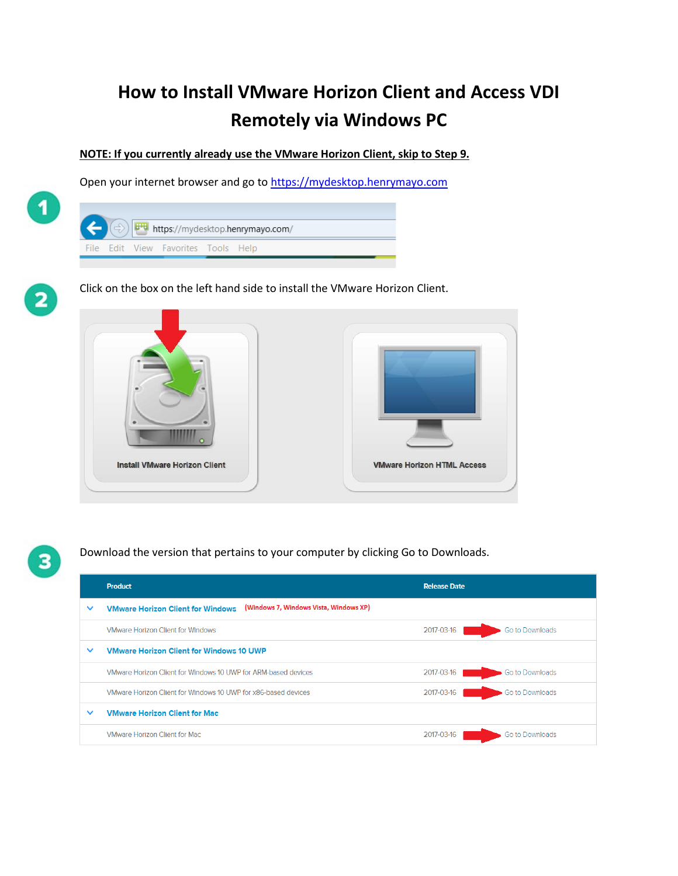## **How to Install VMware Horizon Client and Access VDI Remotely via Windows PC**

**NOTE: If you currently already use the VMware Horizon Client, skip to Step 9.** 

Open your internet browser and go t[o https://mydesktop.henrymayo.com](https://mydesktop.henrymayo.com/)





 $\blacktriangleleft$ 

Click on the box on the left hand side to install the VMware Horizon Client.





Download the version that pertains to your computer by clicking Go to Downloads.

|              | <b>Product</b>                                                                     | <b>Release Date</b>           |
|--------------|------------------------------------------------------------------------------------|-------------------------------|
| $\checkmark$ | (Windows 7, Windows Vista, Windows XP)<br><b>VMware Horizon Client for Windows</b> |                               |
|              | <b>VMware Horizon Client for Windows</b>                                           | Go to Downloads<br>2017-03-16 |
| $\checkmark$ | <b>VMware Horizon Client for Windows 10 UWP</b>                                    |                               |
|              | VMware Horizon Client for Windows 10 UWP for ARM-based devices                     | 2017-03-16<br>Go to Downloads |
|              | VMware Horizon Client for Windows 10 UWP for x86-based devices                     | 2017-03-16<br>Go to Downloads |
| $\checkmark$ | <b>VMware Horizon Client for Mac</b>                                               |                               |
|              | <b>VMware Horizon Client for Mac</b>                                               | 2017-03-16<br>Go to Downloads |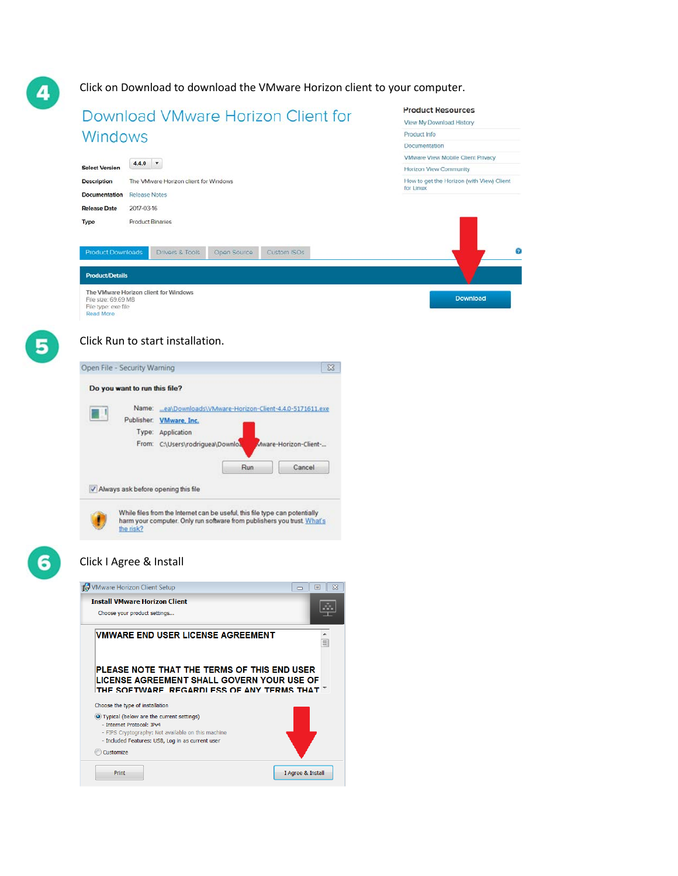Click on Download to download the VMware Horizon client to your computer.

| Download VMware Horizon Client for                                                                                                                                 | <b>Product Resources</b>                               |
|--------------------------------------------------------------------------------------------------------------------------------------------------------------------|--------------------------------------------------------|
|                                                                                                                                                                    | View My Download History                               |
| Windows                                                                                                                                                            | Product Info                                           |
|                                                                                                                                                                    | Documentation                                          |
| $4.4.0$ $*$                                                                                                                                                        | VMware View Mobile Client Privacy                      |
| <b>Select Version</b>                                                                                                                                              | Horizon View Community                                 |
| <b>Description</b><br>The VMware Horizon client for Windows                                                                                                        | How to get the Horizon (with View) Client<br>for Linux |
| Documentation<br><b>Release Notes</b>                                                                                                                              |                                                        |
| <b>Release Date</b><br>2017-03-16                                                                                                                                  |                                                        |
| <b>Product Binaries</b><br>Type<br><b>Product Downloads</b><br>Drivers & Tools<br>Open Source<br><b>Custom ISOs</b>                                                |                                                        |
| <b>Product/Details</b>                                                                                                                                             |                                                        |
| The VMware Horizon client for Windows                                                                                                                              | <b>Download</b>                                        |
| File size: 69.69 MB<br>File type: exe file                                                                                                                         |                                                        |
| <b>Read More</b>                                                                                                                                                   |                                                        |
|                                                                                                                                                                    |                                                        |
| Click Run to start installation.                                                                                                                                   |                                                        |
| Open File - Security Warning<br>x                                                                                                                                  |                                                        |
| Do you want to run this file?                                                                                                                                      |                                                        |
|                                                                                                                                                                    |                                                        |
|                                                                                                                                                                    |                                                        |
| Name: ea\Downloads\VMware-Horizon-Client-4.4.0-5171611.exe                                                                                                         |                                                        |
| Publisher: VMware, Inc.                                                                                                                                            |                                                        |
| Type: Application                                                                                                                                                  |                                                        |
| From: C:\Users\rodriguea\Downloa<br>Mware-Horizon-Client-                                                                                                          |                                                        |
|                                                                                                                                                                    |                                                        |
| Run<br>Cancel                                                                                                                                                      |                                                        |
| V Always ask before opening this file                                                                                                                              |                                                        |
| While files from the Internet can be useful, this file type can potentially<br>harm your computer. Only run software from publishers you trust What's<br>the risk? |                                                        |
|                                                                                                                                                                    |                                                        |
| Click I Agree & Install<br>▣                                                                                                                                       |                                                        |
| VMware Horizon Client Setup<br>$\infty$<br>$\qquad \qquad \Box$                                                                                                    |                                                        |
| <b>Install VMware Horizon Client</b><br>Choose your product settings                                                                                               |                                                        |
|                                                                                                                                                                    |                                                        |
| VMWARE END USER LICENSE AGREEMENT<br>$\blacktriangle$<br>$\equiv$                                                                                                  |                                                        |
| PLEASE NOTE THAT THE TERMS OF THIS END USER<br>LICENSE AGREEMENT SHALL GOVERN YOUR USE OF<br>THE SOFTWARE. REGARDI ESS OF ANY TERMS THAT $^\top$                   |                                                        |
| Choose the type of installation                                                                                                                                    |                                                        |
| O Typical (below are the current settings)                                                                                                                         |                                                        |
| - Internet Protocol: IPv4                                                                                                                                          |                                                        |
| - FIPS Cryptography: Not available on this machine                                                                                                                 |                                                        |
| - Included Features: USB, Log in as current user<br>Customize                                                                                                      |                                                        |
|                                                                                                                                                                    |                                                        |

 $\left| \bm{A} \right|$ 

6

6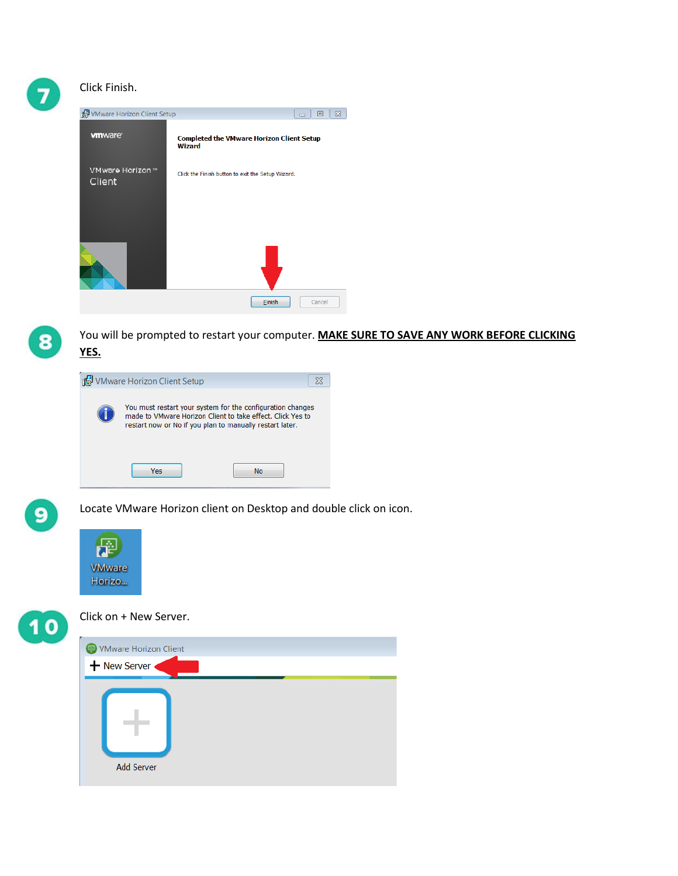## Click Finish.

| VMware Horizon Client Setup | $\infty$<br>▣<br>$\equiv$                                         |
|-----------------------------|-------------------------------------------------------------------|
| <b>vmware</b>               | <b>Completed the VMware Horizon Client Setup</b><br><b>Wizard</b> |
| VMware Horizon ™<br>Client  | Click the Finish button to exit the Setup Wizard.                 |
|                             | Einish<br>Cancel                                                  |



You will be prompted to restart your computer. **MAKE SURE TO SAVE ANY WORK BEFORE CLICKING YES.**





Locate VMware Horizon client on Desktop and double click on icon.



 $10$ 

Click on + New Server.

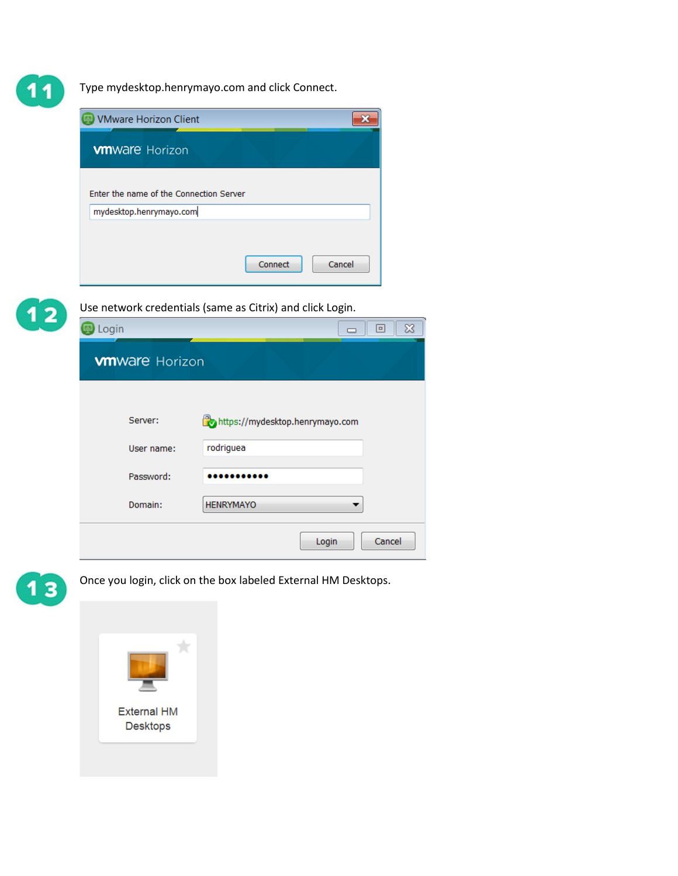1

 $\overline{\mathbf{1}}$ 

Type mydesktop.henrymayo.com and click Connect.

|                     | <b>VMware Horizon Client</b>                              |                  |                                 | ×      |          |
|---------------------|-----------------------------------------------------------|------------------|---------------------------------|--------|----------|
|                     | <b>wnware Horizon</b>                                     |                  |                                 |        |          |
|                     | Enter the name of the Connection Server                   |                  |                                 |        |          |
|                     | mydesktop.henrymayo.com                                   |                  |                                 |        |          |
|                     |                                                           |                  | Connect                         | Cancel |          |
|                     | Use network credentials (same as Citrix) and click Login. |                  |                                 |        |          |
|                     |                                                           |                  |                                 |        |          |
| <mark></mark> Login |                                                           |                  |                                 |        | ▣        |
|                     | <b>vmware Horizon</b>                                     |                  |                                 |        |          |
|                     | Server:                                                   |                  | https://mydesktop.henrymayo.com |        |          |
|                     | User name:                                                | rodriguea        |                                 |        |          |
|                     | Password:                                                 |                  |                                 |        |          |
|                     | Domain:                                                   | <b>HENRYMAYO</b> |                                 |        | $\infty$ |

 $13$ 

Once you login, click on the box labeled External HM Desktops.